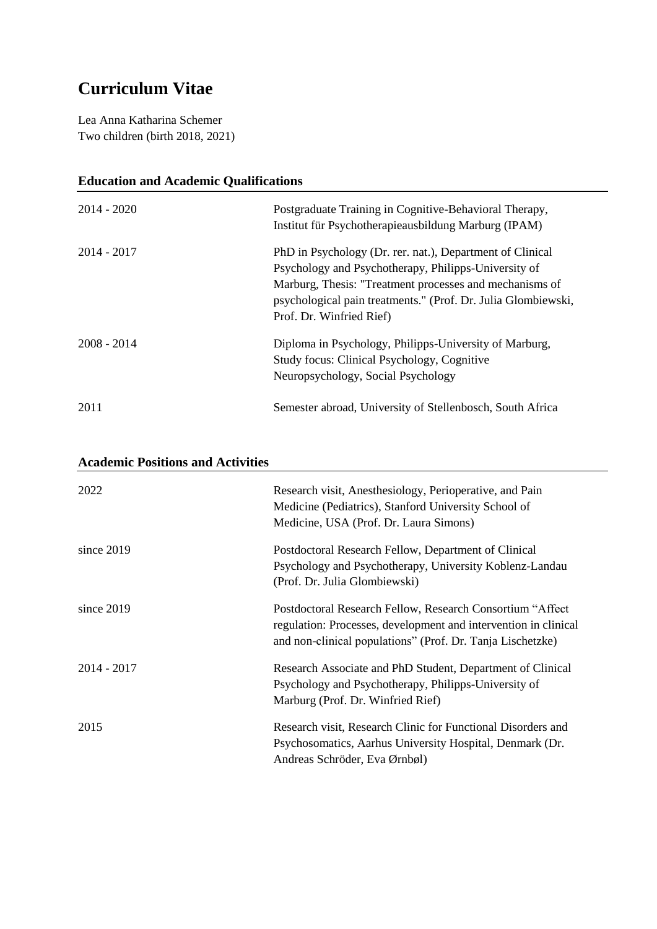## **Curriculum Vitae**

Lea Anna Katharina Schemer Two children (birth 2018, 2021)

| <b>Education and Academic Qualifications</b> |                                                               |  |
|----------------------------------------------|---------------------------------------------------------------|--|
| $2014 - 2020$                                | Postgraduate Training in Cognitive-Behavioral Therapy,        |  |
|                                              | Institut für Psychotherapieausbildung Marburg (IPAM)          |  |
| $2014 - 2017$                                | PhD in Psychology (Dr. rer. nat.), Department of Clinical     |  |
|                                              | Psychology and Psychotherapy, Philipps-University of          |  |
|                                              | Marburg, Thesis: "Treatment processes and mechanisms of       |  |
|                                              | psychological pain treatments." (Prof. Dr. Julia Glombiewski, |  |
|                                              | Prof. Dr. Winfried Rief)                                      |  |
| $2008 - 2014$                                | Diploma in Psychology, Philipps-University of Marburg,        |  |
|                                              | Study focus: Clinical Psychology, Cognitive                   |  |
|                                              | Neuropsychology, Social Psychology                            |  |
| 2011                                         | Semester abroad, University of Stellenbosch, South Africa     |  |

| <b>Academic Positions and Activities</b> |                                                                                                                                                                                            |  |
|------------------------------------------|--------------------------------------------------------------------------------------------------------------------------------------------------------------------------------------------|--|
| 2022                                     | Research visit, Anesthesiology, Perioperative, and Pain<br>Medicine (Pediatrics), Stanford University School of<br>Medicine, USA (Prof. Dr. Laura Simons)                                  |  |
| since $2019$                             | Postdoctoral Research Fellow, Department of Clinical<br>Psychology and Psychotherapy, University Koblenz-Landau<br>(Prof. Dr. Julia Glombiewski)                                           |  |
| since $2019$                             | Postdoctoral Research Fellow, Research Consortium "Affect<br>regulation: Processes, development and intervention in clinical<br>and non-clinical populations" (Prof. Dr. Tanja Lischetzke) |  |
| $2014 - 2017$                            | Research Associate and PhD Student, Department of Clinical<br>Psychology and Psychotherapy, Philipps-University of<br>Marburg (Prof. Dr. Winfried Rief)                                    |  |
| 2015                                     | Research visit, Research Clinic for Functional Disorders and<br>Psychosomatics, Aarhus University Hospital, Denmark (Dr.<br>Andreas Schröder, Eva Ørnbøl)                                  |  |